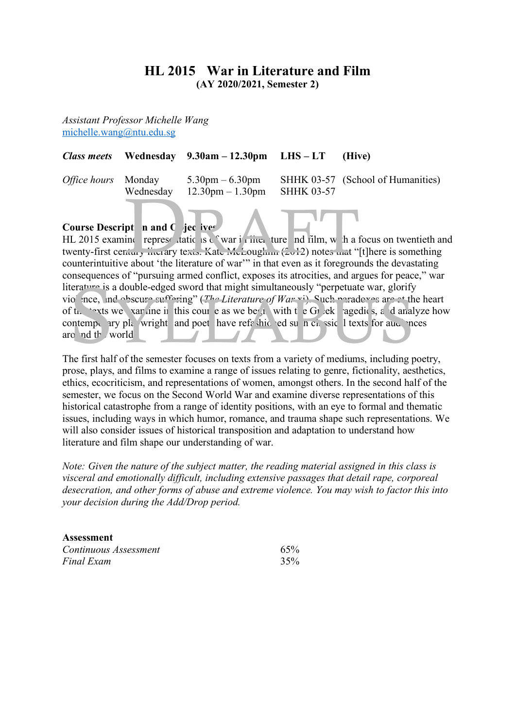# **HL 2015 War in Literature and Film (AY 2020/2021, Semester 2)**

*Assistant Professor Michelle Wang* michelle.wang@ntu.edu.sg

|  | Class meets Wednesday $9.30$ am $-12.30$ pm LHS $-LT$ (Hive) |                                                                                                |
|--|--------------------------------------------------------------|------------------------------------------------------------------------------------------------|
|  | Wednesday $12.30 \text{pm} - 1.30 \text{pm}$ SHHK 03-57      | <i>Office hours</i> Monday $5.30 \text{pm} - 6.30 \text{pm}$ SHHK 03-57 (School of Humanities) |
|  | the contract of the contract of the                          |                                                                                                |

# **Course Description and Collectives**

HL 2015 examine representations of war in literature and film, with a focus on twentieth and twenty-first century literary texts. Kate McLough  $(2012)$  notes and "[t]here is something counterintuitive about 'the literature of war'" in that even as it foregrounds the devastating consequences of "pursuing armed conflict, exposes its atrocities, and argues for peace," war literature is a double-edged sword that might simultaneously "perpetuate war, glorify vio<sup>l</sup> nce, and obscure suffering" (*The Literature of War* vi). Such paradoxes are at the heart of the texts we variance in this course as we begin with the Greek agedies, and analyze how contemporary playwright and poet have refashioned such calculates for audiences around the world. Wednesday 12.30pm - 1.30pm SHHK 03-57<br>
pt n and C jec iver<br>
int represe tatic is c war if the new more interest.<br>
the new more target in the literature of war''' in that even as it foregrounds Exercise is a double-edged sword that might simultaneously "perpetuate war, glorify<br>o'nce, nd obscure suffering" (*The Literature of War* vi). Such paradoves are at the<br>ft. "exts we xar ane it this cour e as we be a with

The first half of the semester focuses on texts from a variety of mediums, including poetry, prose, plays, and films to examine a range of issues relating to genre, fictionality, aesthetics, ethics, ecocriticism, and representations of women, amongst others. In the second half of the semester, we focus on the Second World War and examine diverse representations of this historical catastrophe from a range of identity positions, with an eye to formal and thematic issues, including ways in which humor, romance, and trauma shape such representations. We will also consider issues of historical transposition and adaptation to understand how literature and film shape our understanding of war.

*Note: Given the nature of the subject matter, the reading material assigned in this class is visceral and emotionally difficult, including extensive passages that detail rape, corporeal desecration, and other forms of abuse and extreme violence. You may wish to factor this into your decision during the Add/Drop period.* 

| Assessment            |     |  |  |  |
|-----------------------|-----|--|--|--|
| Continuous Assessment | 65% |  |  |  |
| Final Exam            | 35% |  |  |  |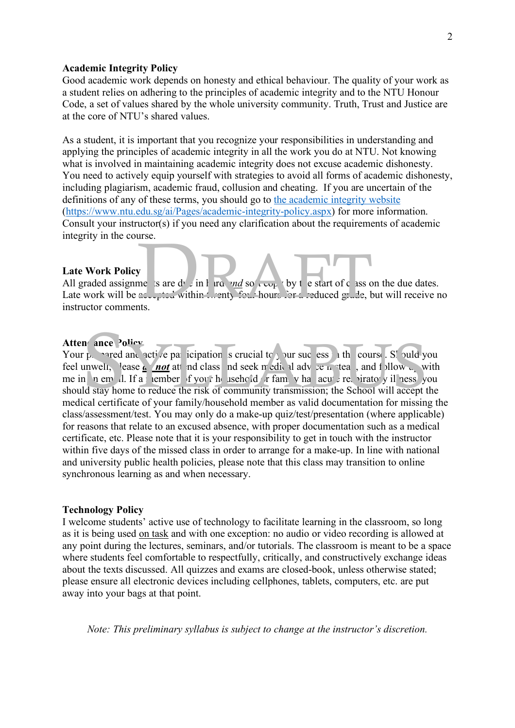# **Academic Integrity Policy**

Good academic work depends on honesty and ethical behaviour. The quality of your work as a student relies on adhering to the principles of academic integrity and to the NTU Honour Code, a set of values shared by the whole university community. Truth, Trust and Justice are at the core of NTU's shared values.

As a student, it is important that you recognize your responsibilities in understanding and applying the principles of academic integrity in all the work you do at NTU. Not knowing what is involved in maintaining academic integrity does not excuse academic dishonesty. You need to actively equip yourself with strategies to avoid all forms of academic dishonesty, including plagiarism, academic fraud, collusion and cheating. If you are uncertain of the definitions of any of these terms, you should go to the academic integrity website (https://www.ntu.edu.sg/ai/Pages/academic-integrity-policy.aspx) for more information. Consult your instructor(s) if you need any clarification about the requirements of academic integrity in the course.

# **Late Work Policy**

All graded assignments are due in hard  $rad$  soft copy by the start of class on the due dates. Late work will be accepted within twenty-four hours for a reduced grade, but will receive no instructor comments. where  $\int$  is are dyning in the start of c as on the computation within the start of c as on the computation within the start bound of  $\frac{1}{2}$  of  $\frac{1}{2}$  and  $\frac{1}{2}$  and  $\frac{1}{2}$  and  $\frac{1}{2}$  and  $\frac{1}{2}$  and  $\frac$ 

# Atten<sup>d</sup>ance Policy

Your prepared and active participation is crucial to your success in the course. Should you feel unwell, lease *do not* attend class and seek medical advice instead, and follow up with me in  $\pi$  em  $\pi$ . If a nember of your household or family has acute respirator y illness, you should stay home to reduce the risk of community transmission; the School will accept the medical certificate of your family/household member as valid documentation for missing the class/assessment/test. You may only do a make-up quiz/test/presentation (where applicable) for reasons that relate to an excused absence, with proper documentation such as a medical certificate, etc. Please note that it is your responsibility to get in touch with the instructor within five days of the missed class in order to arrange for a make-up. In line with national and university public health policies, please note that this class may transition to online synchronous learning as and when necessary. The **and set of the participation** is crucial to but suce essent the course. So vuld y<br>the course  $\frac{1}{n}$  and  $\frac{1}{n}$  attended and class and seek media if advice in tea , and follow with a new dividend the figure of t

#### **Technology Policy**

I welcome students' active use of technology to facilitate learning in the classroom, so long as it is being used on task and with one exception: no audio or video recording is allowed at any point during the lectures, seminars, and/or tutorials. The classroom is meant to be a space where students feel comfortable to respectfully, critically, and constructively exchange ideas about the texts discussed. All quizzes and exams are closed-book, unless otherwise stated; please ensure all electronic devices including cellphones, tablets, computers, etc. are put away into your bags at that point.

*Note: This preliminary syllabus is subject to change at the instructor's discretion.*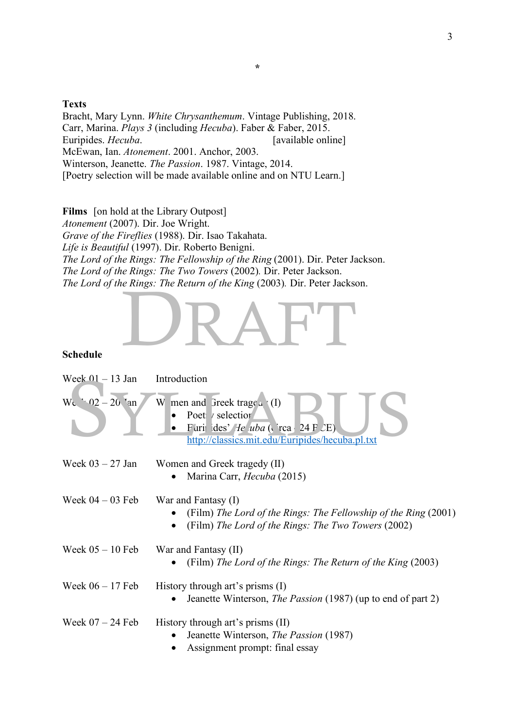# **Texts**

Bracht, Mary Lynn. *White Chrysanthemum*. Vintage Publishing, 2018. Carr, Marina. *Plays 3* (including *Hecuba*). Faber & Faber, 2015. Euripides. *Hecuba*. [available online] McEwan, Ian. *Atonement*. 2001. Anchor, 2003. Winterson, Jeanette. *The Passion*. 1987. Vintage, 2014. [Poetry selection will be made available online and on NTU Learn.]

**Films** [on hold at the Library Outpost] *Atonement* (2007). Dir. Joe Wright. *Grave of the Fireflies* (1988). Dir. Isao Takahata. *Life is Beautiful* (1997). Dir. Roberto Benigni. *The Lord of the Rings: The Fellowship of the Ring (2001). Dir. Peter Jackson. The Lord of the Rings: The Two Towers* (2002)*.* Dir. Peter Jackson. *The Lord of the Rings: The Return of the King (2003). Dir. Peter Jackson.* E Kings. The Reiurn of the King (2005). Dif. Peter Jackson.

# **Schedule**

| Week $01 - 13$ Jan | Introduction                                                                                                                                                                                     |
|--------------------|--------------------------------------------------------------------------------------------------------------------------------------------------------------------------------------------------|
| $W_c = 02 - 20$ an | W men and Greek trage $\alpha$ (I)<br>Poet / selection<br>$\bullet$<br>Furi ides' He uba ( $\operatorname{rea}$ 24 F $\angle$ E)<br>$\bullet$<br>http://classics.mit.edu/Euripides/hecuba.pl.txt |
| Week $03 - 27$ Jan | Women and Greek tragedy (II)                                                                                                                                                                     |
|                    | Marina Carr, Hecuba (2015)                                                                                                                                                                       |
| Week $04 - 03$ Feb | War and Fantasy (I)<br>(Film) The Lord of the Rings: The Fellowship of the Ring (2001)<br>(Film) The Lord of the Rings: The Two Towers (2002)<br>$\bullet$                                       |
| Week $05 - 10$ Feb | War and Fantasy (II)                                                                                                                                                                             |
|                    | (Film) The Lord of the Rings: The Return of the King (2003)                                                                                                                                      |
| Week $06 - 17$ Feb | History through art's prisms $(I)$<br>Jeanette Winterson, <i>The Passion</i> (1987) (up to end of part 2)                                                                                        |
| Week $07 - 24$ Feb | History through art's prisms (II)<br>Jeanette Winterson, <i>The Passion</i> (1987)<br>Assignment prompt: final essay                                                                             |

**\***